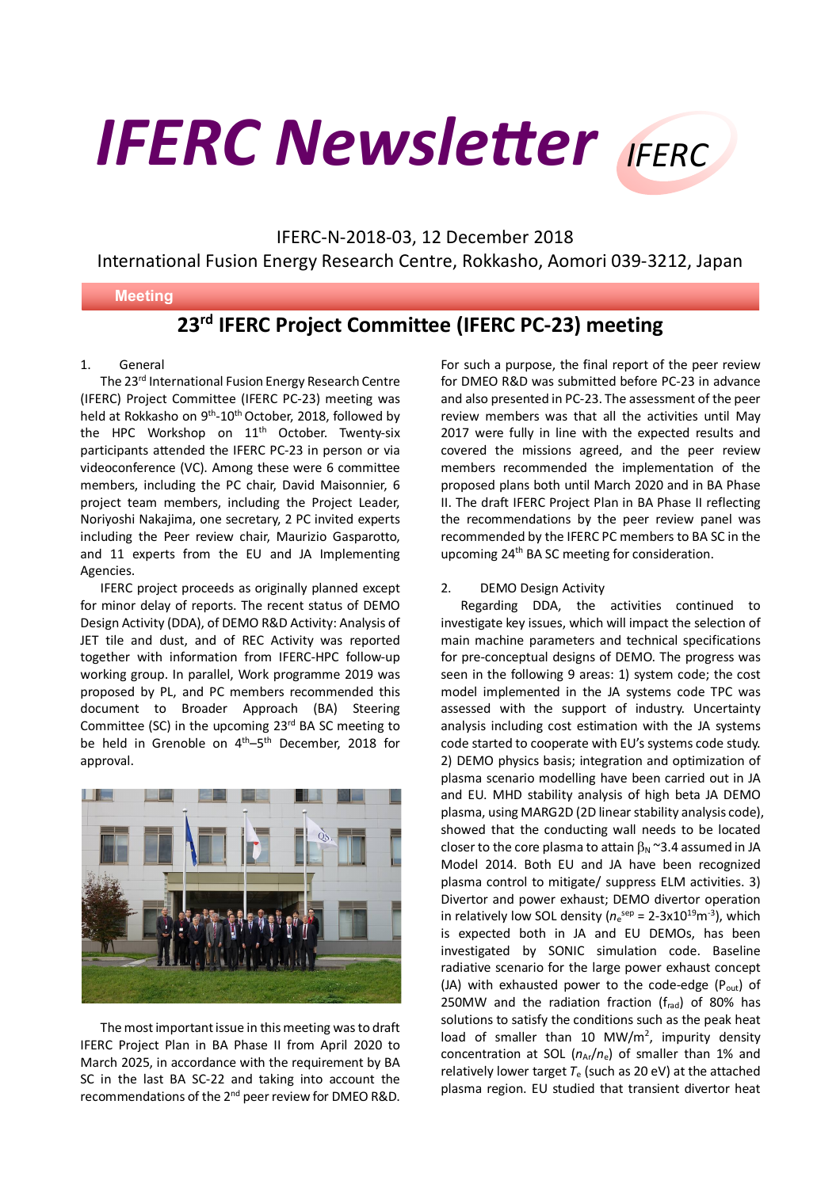# **IFERC Newsletter** IFFRC

IFERC-N-2018-03, 12 December 2018

International Fusion Energy Research Centre, Rokkasho, Aomori 039-3212, Japan

## **Meeting**

# **23rd IFERC Project Committee (IFERC PC-23) meeting**

### 1. General

The 23<sup>rd</sup> International Fusion Energy Research Centre (IFERC) Project Committee (IFERC PC-23) meeting was held at Rokkasho on 9<sup>th</sup>-10<sup>th</sup> October, 2018, followed by the HPC Workshop on  $11<sup>th</sup>$  October. Twenty-six participants attended the IFERC PC-23 in person or via videoconference (VC). Among these were 6 committee members, including the PC chair, David Maisonnier, 6 project team members, including the Project Leader, Noriyoshi Nakajima, one secretary, 2 PC invited experts including the Peer review chair, Maurizio Gasparotto, and 11 experts from the EU and JA Implementing Agencies.

IFERC project proceeds as originally planned except for minor delay of reports. The recent status of DEMO Design Activity (DDA), of DEMO R&D Activity: Analysis of JET tile and dust, and of REC Activity was reported together with information from IFERC-HPC follow-up working group. In parallel, Work programme 2019 was proposed by PL, and PC members recommended this document to Broader Approach (BA) Steering Committee (SC) in the upcoming  $23<sup>rd</sup>$  BA SC meeting to be held in Grenoble on 4<sup>th</sup>–5<sup>th</sup> December, 2018 for approval.



The most important issue in this meeting was to draft IFERC Project Plan in BA Phase II from April 2020 to March 2025, in accordance with the requirement by BA SC in the last BA SC-22 and taking into account the recommendations of the 2<sup>nd</sup> peer review for DMEO R&D.

For such a purpose, the final report of the peer review for DMEO R&D was submitted before PC-23 in advance and also presented in PC-23. The assessment of the peer review members was that all the activities until May 2017 were fully in line with the expected results and covered the missions agreed, and the peer review members recommended the implementation of the proposed plans both until March 2020 and in BA Phase II. The draft IFERC Project Plan in BA Phase II reflecting the recommendations by the peer review panel was recommended by the IFERC PC members to BA SC in the upcoming 24th BA SC meeting for consideration.

## 2. DEMO Design Activity

Regarding DDA, the activities continued to investigate key issues, which will impact the selection of main machine parameters and technical specifications for pre-conceptual designs of DEMO. The progress was seen in the following 9 areas: 1) system code; the cost model implemented in the JA systems code TPC was assessed with the support of industry. Uncertainty analysis including cost estimation with the JA systems code started to cooperate with EU's systems code study. 2) DEMO physics basis; integration and optimization of plasma scenario modelling have been carried out in JA and EU. MHD stability analysis of high beta JA DEMO plasma, using MARG2D (2D linear stability analysis code), showed that the conducting wall needs to be located closer to the core plasma to attain  $\beta_N$  ~3.4 assumed in JA Model 2014. Both EU and JA have been recognized plasma control to mitigate/ suppress ELM activities. 3) Divertor and power exhaust; DEMO divertor operation in relatively low SOL density ( $n_e^{sep}$  = 2-3x10<sup>19</sup>m<sup>-3</sup>), which is expected both in JA and EU DEMOs, has been investigated by SONIC simulation code. Baseline radiative scenario for the large power exhaust concept (JA) with exhausted power to the code-edge  $(P_{out})$  of 250MW and the radiation fraction  $(f_{rad})$  of 80% has solutions to satisfy the conditions such as the peak heat load of smaller than  $10 \, \text{MW/m}^2$ , impurity density concentration at SOL  $(n_{Ar}/n_e)$  of smaller than 1% and relatively lower target  $T_e$  (such as 20 eV) at the attached plasma region. EU studied that transient divertor heat